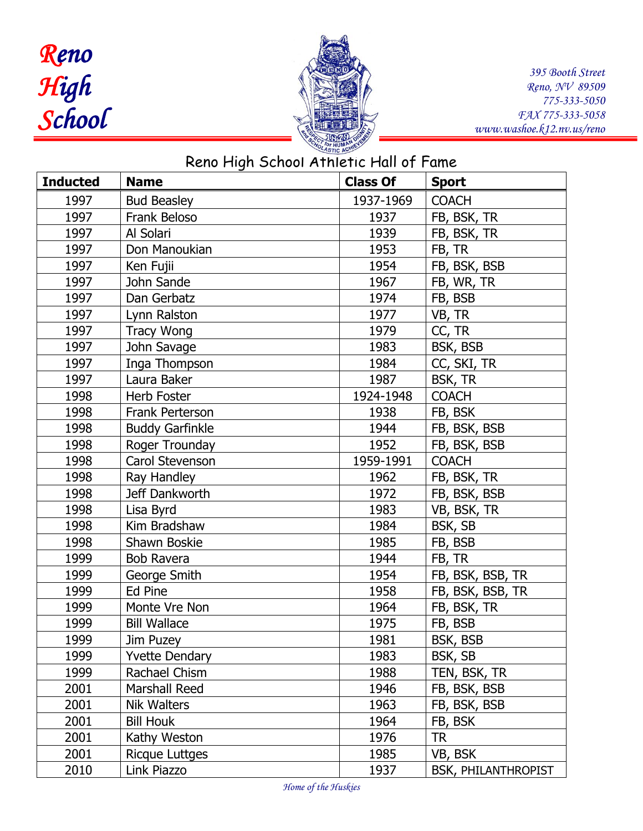## *Reno High School*



*395 Booth Street Reno, NV 89509 775-333-5050 FAX 775-333-5058 www.washoe.k12.nv.us/reno*

| Reno High School Athletic Hall of Fame |                        |                 |                     |  |  |
|----------------------------------------|------------------------|-----------------|---------------------|--|--|
| <b>Inducted</b>                        | <b>Name</b>            | <b>Class Of</b> | <b>Sport</b>        |  |  |
| 1997                                   | <b>Bud Beasley</b>     | 1937-1969       | <b>COACH</b>        |  |  |
| 1997                                   | Frank Beloso           | 1937            | FB, BSK, TR         |  |  |
| 1997                                   | Al Solari              | 1939            | FB, BSK, TR         |  |  |
| 1997                                   | Don Manoukian          | 1953            | FB, TR              |  |  |
| 1997                                   | Ken Fujii              | 1954            | FB, BSK, BSB        |  |  |
| 1997                                   | John Sande             | 1967            | FB, WR, TR          |  |  |
| 1997                                   | Dan Gerbatz            | 1974            | FB, BSB             |  |  |
| 1997                                   | Lynn Ralston           | 1977            | VB, TR              |  |  |
| 1997                                   | <b>Tracy Wong</b>      | 1979            | CC, TR              |  |  |
| 1997                                   | John Savage            | 1983            | BSK, BSB            |  |  |
| 1997                                   | Inga Thompson          | 1984            | CC, SKI, TR         |  |  |
| 1997                                   | Laura Baker            | 1987            | <b>BSK, TR</b>      |  |  |
| 1998                                   | Herb Foster            | 1924-1948       | <b>COACH</b>        |  |  |
| 1998                                   | <b>Frank Perterson</b> | 1938            | FB, BSK             |  |  |
| 1998                                   | <b>Buddy Garfinkle</b> | 1944            | FB, BSK, BSB        |  |  |
| 1998                                   | Roger Trounday         | 1952            | FB, BSK, BSB        |  |  |
| 1998                                   | Carol Stevenson        | 1959-1991       | <b>COACH</b>        |  |  |
| 1998                                   | Ray Handley            | 1962            | FB, BSK, TR         |  |  |
| 1998                                   | Jeff Dankworth         | 1972            | FB, BSK, BSB        |  |  |
| 1998                                   | Lisa Byrd              | 1983            | VB, BSK, TR         |  |  |
| 1998                                   | Kim Bradshaw           | 1984            | BSK, SB             |  |  |
| 1998                                   | Shawn Boskie           | 1985            | FB, BSB             |  |  |
| 1999                                   | <b>Bob Ravera</b>      | 1944            | FB, TR              |  |  |
| 1999                                   | George Smith           | 1954            | FB, BSK, BSB, TR    |  |  |
| 1999                                   | Ed Pine                | 1958            | FB, BSK, BSB, TR    |  |  |
| 1999                                   | Monte Vre Non          | 1964            | FB, BSK, TR         |  |  |
| 1999                                   | <b>Bill Wallace</b>    | 1975            | FB, BSB             |  |  |
| 1999                                   | Jim Puzey              | 1981            | BSK, BSB            |  |  |
| 1999                                   | <b>Yvette Dendary</b>  | 1983            | BSK, SB             |  |  |
| 1999                                   | Rachael Chism          | 1988            | TEN, BSK, TR        |  |  |
| 2001                                   | Marshall Reed          | 1946            | FB, BSK, BSB        |  |  |
| 2001                                   | <b>Nik Walters</b>     | 1963            | FB, BSK, BSB        |  |  |
| 2001                                   | <b>Bill Houk</b>       | 1964            | FB, BSK             |  |  |
| 2001                                   | Kathy Weston           | 1976            | <b>TR</b>           |  |  |
| 2001                                   | Ricque Luttges         | 1985            | VB, BSK             |  |  |
| 2010                                   | Link Piazzo            | 1937            | BSK, PHILANTHROPIST |  |  |

*Home of the Huskies*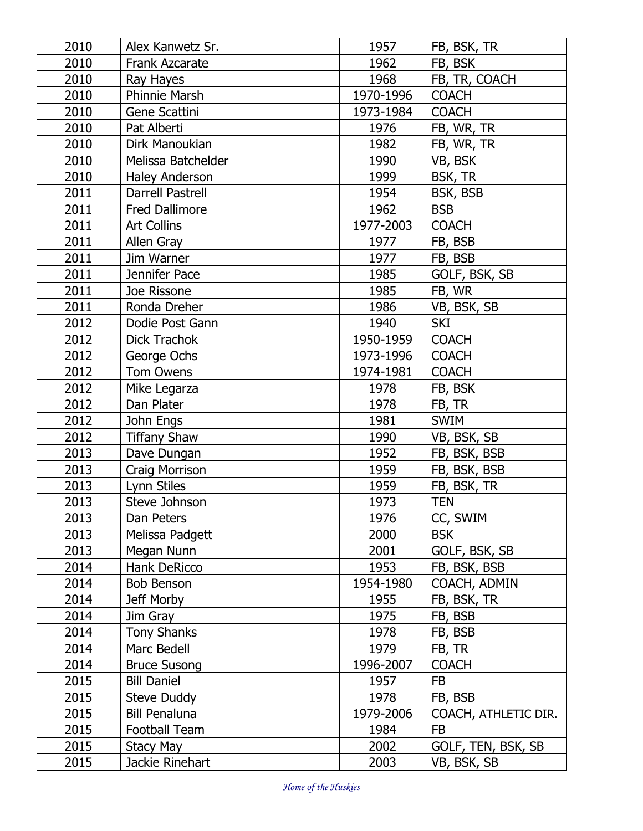| 2010 | Alex Kanwetz Sr.        | 1957      | FB, BSK, TR          |
|------|-------------------------|-----------|----------------------|
| 2010 | <b>Frank Azcarate</b>   | 1962      | FB, BSK              |
| 2010 | Ray Hayes               | 1968      | FB, TR, COACH        |
| 2010 | <b>Phinnie Marsh</b>    | 1970-1996 | <b>COACH</b>         |
| 2010 | Gene Scattini           | 1973-1984 | <b>COACH</b>         |
| 2010 | Pat Alberti             | 1976      | FB, WR, TR           |
| 2010 | Dirk Manoukian          | 1982      | FB, WR, TR           |
| 2010 | Melissa Batchelder      | 1990      | VB, BSK              |
| 2010 | <b>Haley Anderson</b>   | 1999      | BSK, TR              |
| 2011 | <b>Darrell Pastrell</b> | 1954      | BSK, BSB             |
| 2011 | <b>Fred Dallimore</b>   | 1962      | <b>BSB</b>           |
| 2011 | <b>Art Collins</b>      | 1977-2003 | <b>COACH</b>         |
| 2011 | Allen Gray              | 1977      | FB, BSB              |
| 2011 | Jim Warner              | 1977      | FB, BSB              |
| 2011 | Jennifer Pace           | 1985      | GOLF, BSK, SB        |
| 2011 | Joe Rissone             | 1985      | FB, WR               |
| 2011 | Ronda Dreher            | 1986      | VB, BSK, SB          |
| 2012 | Dodie Post Gann         | 1940      | <b>SKI</b>           |
| 2012 | <b>Dick Trachok</b>     | 1950-1959 | <b>COACH</b>         |
| 2012 | George Ochs             | 1973-1996 | <b>COACH</b>         |
| 2012 | <b>Tom Owens</b>        | 1974-1981 | <b>COACH</b>         |
| 2012 | Mike Legarza            | 1978      | FB, BSK              |
| 2012 | Dan Plater              | 1978      | FB, TR               |
| 2012 | John Engs               | 1981      | <b>SWIM</b>          |
| 2012 | <b>Tiffany Shaw</b>     | 1990      | VB, BSK, SB          |
| 2013 | Dave Dungan             | 1952      | FB, BSK, BSB         |
| 2013 | Craig Morrison          | 1959      | FB, BSK, BSB         |
| 2013 | Lynn Stiles             | 1959      | FB, BSK, TR          |
| 2013 | Steve Johnson           | 1973      | <b>TEN</b>           |
| 2013 | Dan Peters              | 1976      | CC, SWIM             |
| 2013 | Melissa Padgett         | 2000      | <b>BSK</b>           |
| 2013 | Megan Nunn              | 2001      | GOLF, BSK, SB        |
| 2014 | Hank DeRicco            | 1953      | FB, BSK, BSB         |
| 2014 | Bob Benson              | 1954-1980 | COACH, ADMIN         |
| 2014 | Jeff Morby              | 1955      | FB, BSK, TR          |
| 2014 | Jim Gray                | 1975      | FB, BSB              |
| 2014 | <b>Tony Shanks</b>      | 1978      | FB, BSB              |
| 2014 | Marc Bedell             | 1979      | FB, TR               |
| 2014 | <b>Bruce Susong</b>     | 1996-2007 | <b>COACH</b>         |
| 2015 | <b>Bill Daniel</b>      | 1957      | <b>FB</b>            |
| 2015 | <b>Steve Duddy</b>      | 1978      | FB, BSB              |
| 2015 | <b>Bill Penaluna</b>    | 1979-2006 | COACH, ATHLETIC DIR. |
| 2015 | <b>Football Team</b>    | 1984      | <b>FB</b>            |
| 2015 | Stacy May               | 2002      | GOLF, TEN, BSK, SB   |
| 2015 | Jackie Rinehart         | 2003      | VB, BSK, SB          |